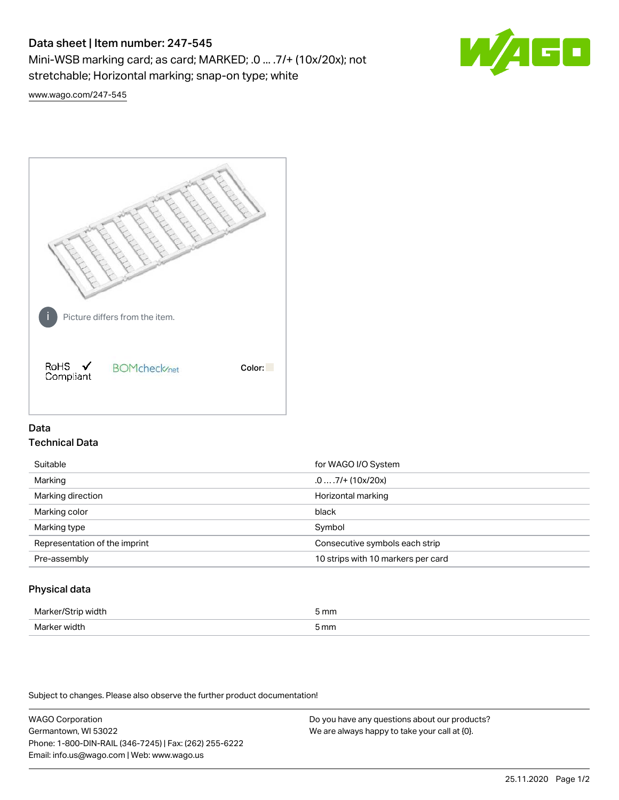# Data sheet | Item number: 247-545

Mini-WSB marking card; as card; MARKED; .0 ... .7/+ (10x/20x); not stretchable; Horizontal marking; snap-on type; white



[www.wago.com/247-545](http://www.wago.com/247-545)



# Data Technical Data

| Suitable                      | for WAGO I/O System                |
|-------------------------------|------------------------------------|
| Marking                       | $.0 \ldots .7/$ + (10x/20x)        |
| Marking direction             | Horizontal marking                 |
| Marking color                 | black                              |
| Marking type                  | Symbol                             |
| Representation of the imprint | Consecutive symbols each strip     |
| Pre-assembly                  | 10 strips with 10 markers per card |
|                               |                                    |

## Physical data

| Marker<br><b>WINTI</b><br>י | 5 mm |
|-----------------------------|------|
| Marker width                | 5 mm |

Subject to changes. Please also observe the further product documentation!

WAGO Corporation Germantown, WI 53022 Phone: 1-800-DIN-RAIL (346-7245) | Fax: (262) 255-6222 Email: info.us@wago.com | Web: www.wago.us Do you have any questions about our products? We are always happy to take your call at {0}.